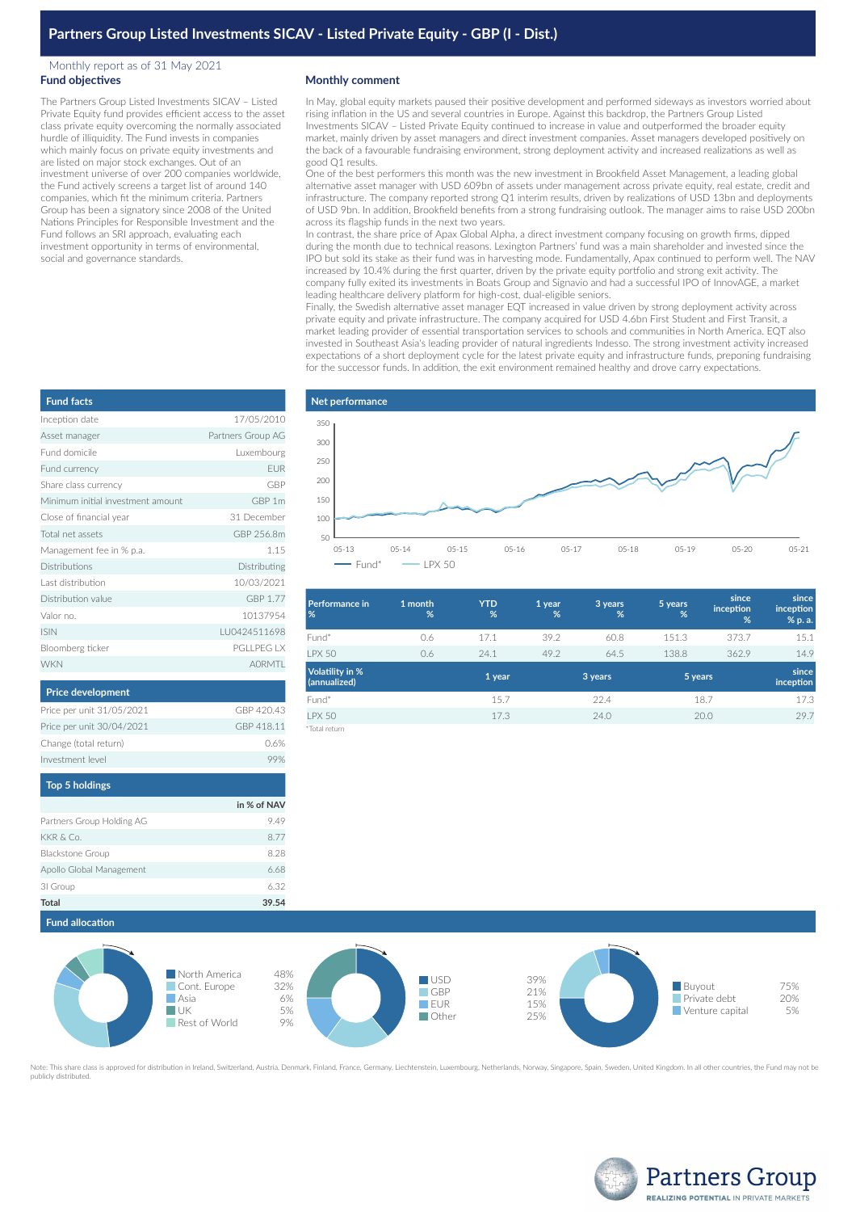### Monthly report as of 31 May 2021 **Fund objectives**

The Partners Group Listed Investments SICAV – Listed Private Equity fund provides efficient access to the asset class private equity overcoming the normally associated hurdle of illiquidity. The Fund invests in companies which mainly focus on private equity investments and are listed on major stock exchanges. Out of an investment universe of over 200 companies worldwide, the Fund actively screens a target list of around 140 companies, which fit the minimum criteria. Partners Group has been a signatory since 2008 of the United Nations Principles for Responsible Investment and the Fund follows an SRI approach, evaluating each investment opportunity in terms of environmental, social and governance standards.

#### **Monthly comment**

In May, global equity markets paused their positive development and performed sideways as investors worried about rising inflation in the US and several countries in Europe. Against this backdrop, the Partners Group Listed Investments SICAV – Listed Private Equity continued to increase in value and outperformed the broader equity market, mainly driven by asset managers and direct investment companies. Asset managers developed positively on the back of a favourable fundraising environment, strong deployment activity and increased realizations as well as good Q1 results.

One of the best performers this month was the new investment in Brookfield Asset Management, a leading global alternative asset manager with USD 609bn of assets under management across private equity, real estate, credit and infrastructure. The company reported strong Q1 interim results, driven by realizations of USD 13bn and deployments of USD 9bn. In addition, Brookfield benefits from a strong fundraising outlook. The manager aims to raise USD 200bn across its flagship funds in the next two years.

In contrast, the share price of Apax Global Alpha, a direct investment company focusing on growth firms, dipped during the month due to technical reasons. Lexington Partners' fund was a main shareholder and invested since the IPO but sold its stake as their fund was in harvesting mode. Fundamentally, Apax continued to perform well. The NAV increased by 10.4% during the first quarter, driven by the private equity portfolio and strong exit activity. The company fully exited its investments in Boats Group and Signavio and had a successful IPO of InnovAGE, a market leading healthcare delivery platform for high-cost, dual-eligible seniors.

Finally, the Swedish alternative asset manager EQT increased in value driven by strong deployment activity across private equity and private infrastructure. The company acquired for USD 4.6bn First Student and First Transit, a market leading provider of essential transportation services to schools and communities in North America. EQT also invested in Southeast Asia's leading provider of natural ingredients Indesso. The strong investment activity increased expectations of a short deployment cycle for the latest private equity and infrastructure funds, preponing fundraising for the successor funds. In addition, the exit environment remained healthy and drove carry expectations.



| <b>Performance in</b><br>%             | 1 month<br>% | <b>YTD</b><br>% | 1 year<br>% | 3 years<br>% | 5 years<br>% | since<br>inception<br>% | since<br>inception<br>% p. a. |
|----------------------------------------|--------------|-----------------|-------------|--------------|--------------|-------------------------|-------------------------------|
| Fund*                                  | 0.6          | 17.1            | 39.2        | 60.8         | 151.3        | 373.7                   | 15.1                          |
| <b>PX 50</b>                           | 0.6          | 24.1            | 49.2        | 64.5         | 138.8        | 362.9                   | 14.9                          |
| <b>Volatility in %</b><br>(annualized) |              | 1 year          |             | 3 years      | 5 years      |                         | since<br>inception            |
| Fund*                                  |              | 15.7            |             | 22.4         |              | 18.7                    | 17.3                          |
| <b>LPX 50</b>                          |              | 17.3            |             | 24.0         |              | 20.0                    | 29.7                          |
| *Total return                          |              |                 |             |              |              |                         |                               |



Note: This share class is approved for distribution in Ireland, Switzerland, Austria, Denmark, Finland, France, Germany, Liechtenstein, Luxembourg, Netherlands, Norway, Singapore, Spain, Sweden, United Kingdom, In all othe publicly distributed.



| <b>Fund facts</b>                 |                   |
|-----------------------------------|-------------------|
| Inception date                    | 17/05/2010        |
| Asset manager                     | Partners Group AG |
| Fund domicile                     | Luxembourg        |
| Fund currency                     | <b>FUR</b>        |
| Share class currency              | GBP               |
| Minimum initial investment amount | GBP 1m            |
| Close of financial year           | 31 December       |
| Total net assets                  | GBP 256.8m        |
| Management fee in % p.a.          | 1.15              |
| Distributions                     | Distributing      |
| Last distribution                 | 10/03/2021        |
| Distribution value                | GBP 1.77          |
| Valor no.                         | 10137954          |
| <b>ISIN</b>                       | LU0424511698      |
| Bloomberg ticker                  | <b>PGLLPEG LX</b> |
| <b>WKN</b>                        | <b>AORMTI</b>     |
|                                   |                   |

# **Price development**

| Price per unit 31/05/2021 | GRP 420 43 |
|---------------------------|------------|
| Price per unit 30/04/2021 | GBP 418.11 |
| Change (total return)     | 0.6%       |
| Investment level          | 99%        |

| <b>Top 5 holdings</b>     |             |
|---------------------------|-------------|
|                           | in % of NAV |
| Partners Group Holding AG | 9.49        |
| KKR & Co.                 | 8.77        |
| Blackstone Group          | 8.28        |
| Apollo Global Management  | 6.68        |
| 31 Group                  | 6.32        |
| <b>Total</b>              | 39.54       |